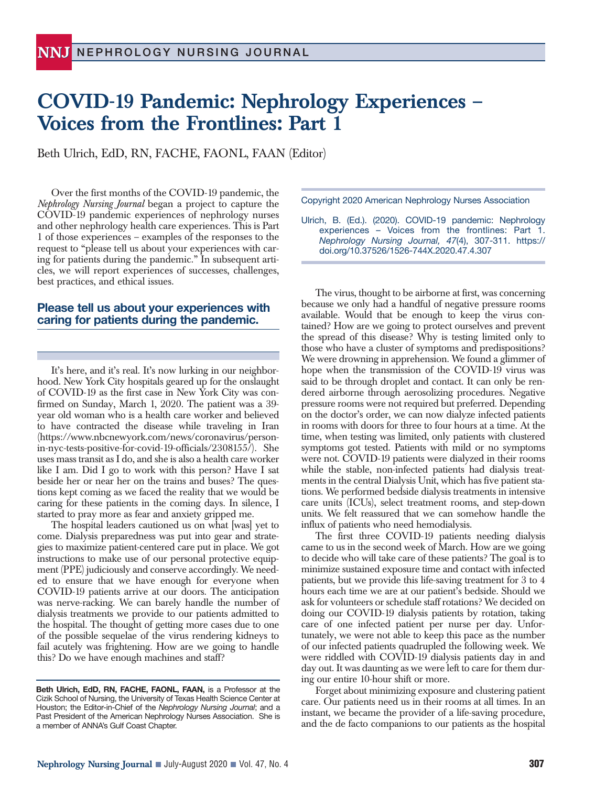# **COVID-19 Pandemic: Nephrology Experiences – Voices from the Frontlines: Part 1**

Beth Ulrich, EdD, RN, FACHE, FAONL, FAAN (Editor)

Over the first months of the COVID-19 pandemic, the *Nephrology Nursing Journal* began a project to capture the COVID-19 pandemic experiences of nephrology nurses and other nephrology health care experiences. This is Part 1 of those experiences – examples of the responses to the request to "please tell us about your experiences with caring for patients during the pandemic." In subsequent articles, we will report experiences of successes, challenges, best practices, and ethical issues.

## **Please tell us about your experiences with caring for patients during the pandemic.**

It's here, and it's real. It's now lurking in our neighborhood. New York City hospitals geared up for the onslaught of COVID-19 as the first case in New York City was confirmed on Sunday, March 1, 2020. The patient was a 39 year old woman who is a health care worker and believed to have contracted the disease while traveling in Iran (https://www.nbcnewyork.com/news/coronavirus/personin-nyc-tests-positive-for-covid-19-officials/2308155/). She uses mass transit as I do, and she is also a health care worker like I am. Did I go to work with this person? Have I sat beside her or near her on the trains and buses? The questions kept coming as we faced the reality that we would be caring for these patients in the coming days. In silence, I started to pray more as fear and anxiety gripped me.

The hospital leaders cautioned us on what [was] yet to come. Dialysis preparedness was put into gear and strategies to maximize patient-centered care put in place. We got instructions to make use of our personal protective equipment (PPE) judiciously and conserve accordingly. We needed to ensure that we have enough for everyone when COVID-19 patients arrive at our doors. The anticipation was nerve-racking. We can barely handle the number of dialysis treatments we provide to our patients admitted to the hospital. The thought of getting more cases due to one of the possible sequelae of the virus rendering kidneys to fail acutely was frightening. How are we going to handle this? Do we have enough machines and staff?

Copyright 2020 American Nephrology Nurses Association

Ulrich, B. (Ed.). (2020). COVID-19 pandemic: Nephrology experiences – Voices from the frontlines: Part 1. *Nephrology Nursing Journal, 47*(4), 307-311. https:// doi.org/10.37526/1526-744X.2020.47.4.307

The virus, thought to be airborne at first, was concerning because we only had a handful of negative pressure rooms available. Would that be enough to keep the virus contained? How are we going to protect ourselves and prevent the spread of this disease? Why is testing limited only to those who have a cluster of symptoms and predispositions? We were drowning in apprehension. We found a glimmer of hope when the transmission of the COVID-19 virus was said to be through droplet and contact. It can only be rendered airborne through aerosolizing procedures. Negative pressure rooms were not required but preferred. Depending on the doctor's order, we can now dialyze infected patients in rooms with doors for three to four hours at a time. At the time, when testing was limited, only patients with clustered symptoms got tested. Patients with mild or no symptoms were not. COVID-19 patients were dialyzed in their rooms while the stable, non-infected patients had dialysis treatments in the central Dialysis Unit, which has five patient stations. We performed bedside dialysis treatments in intensive care units (ICUs), select treatment rooms, and step-down units. We felt reassured that we can somehow handle the influx of patients who need hemodialysis.

The first three COVID-19 patients needing dialysis came to us in the second week of March. How are we going to decide who will take care of these patients? The goal is to minimize sustained exposure time and contact with infected patients, but we provide this life-saving treatment for 3 to 4 hours each time we are at our patient's bedside. Should we ask for volunteers or schedule staff rotations? We decided on doing our COVID-19 dialysis patients by rotation, taking care of one infected patient per nurse per day. Unfortunately, we were not able to keep this pace as the number of our infected patients quadrupled the following week. We were riddled with COVID-19 dialysis patients day in and day out. It was daunting as we were left to care for them during our entire 10-hour shift or more.

Forget about minimizing exposure and clustering patient care. Our patients need us in their rooms at all times. In an instant, we became the provider of a life-saving procedure, and the de facto companions to our patients as the hospital

**Beth Ulrich, EdD, RN, FACHE, FAONL, FAAN,** is a Professor at the Cizik School of Nursing, the University of Texas Health Science Center at Houston; the Editor-in-Chief of the *Nephrology Nursing Journal*; and a Past President of the American Nephrology Nurses Association. She is a member of ANNA's Gulf Coast Chapter.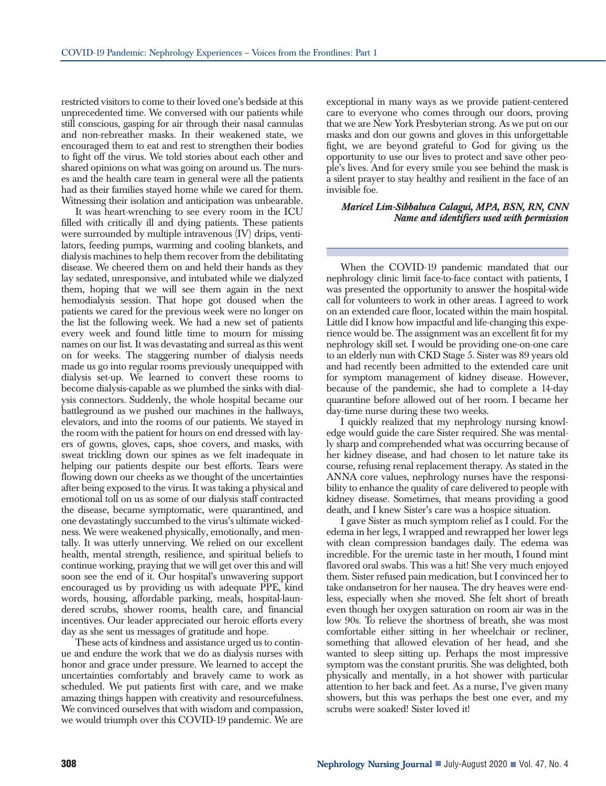restricted visitors to come to their loved one's bedside at this unprecedented time. We conversed with our patients while still conscious, gasping for air through their nasal cannulas and non-rebreather masks. In their weakened state, we encouraged them to eat and rest to strengthen their bodies to fight off the virus. We told stories about each other and shared opinions on what was going on around us. The nurses and the health care team in general were all the patients had as their families stayed home while we cared for them. Witnessing their isolation and anticipation was unbearable.

It was heart-wrenching to see every room in the ICU filled with critically ill and dying patients. These patients were surrounded by multiple intravenous (IV) drips, ventilators, feeding pumps, warming and cooling blankets, and dialysis machines to help them recover from the debilitating disease. We cheered them on and held their hands as they lay sedated, unresponsive, and intubated while we dialyzed them, hoping that we will see them again in the next hemodialysis session. That hope got doused when the patients we cared for the previous week were no longer on the list the following week. We had a new set of patients every week and found little time to mourn for missing names on our list. It was devastating and surreal as this went on for weeks. The staggering number of dialysis needs made us go into regular rooms previously unequipped with dialysis set-up. We learned to convert these rooms to become dialysis-capable as we plumbed the sinks with dialysis connectors. Suddenly, the whole hospital became our battleground as we pushed our machines in the hallways, elevators, and into the rooms of our patients. We stayed in the room with the patient for hours on end dressed with layers of gowns, gloves, caps, shoe covers, and masks, with sweat trickling down our spines as we felt inadequate in helping our patients despite our best efforts. Tears were flowing down our cheeks as we thought of the uncertainties after being exposed to the virus. It was taking a physical and emotional toll on us as some of our dialysis staff contracted the disease, became symptomatic, were quarantined, and one devastatingly succumbed to the virus's ultimate wickedness. We were weakened physically, emotionally, and mentally. It was utterly unnerving. We relied on our excellent health, mental strength, resilience, and spiritual beliefs to continue working, praying that we will get over this and will soon see the end of it. Our hospital's unwavering support encouraged us by providing us with adequate PPE, kind words, housing, affordable parking, meals, hospital-laundered scrubs, shower rooms, health care, and financial incentives. Our leader appreciated our heroic efforts every day as she sent us messages of gratitude and hope.

These acts of kindness and assistance urged us to continue and endure the work that we do as dialysis nurses with honor and grace under pressure. We learned to accept the uncertainties comfortably and bravely came to work as scheduled. We put patients first with care, and we make amazing things happen with creativity and resourcefulness. We convinced ourselves that with wisdom and compassion, we would triumph over this COVID-19 pandemic. We are exceptional in many ways as we provide patient-centered care to everyone who comes through our doors, proving that we are New York Presbyterian strong. As we put on our masks and don our gowns and gloves in this unforgettable fight, we are beyond grateful to God for giving us the opportunity to use our lives to protect and save other people's lives. And for every smile you see behind the mask is a silent prayer to stay healthy and resilient in the face of an invisible foe.

## *Maricel Lim-Sibbaluca Calagui, MPA, BSN, RN, CNN Name and identifiers used with permission*

When the COVID-19 pandemic mandated that our nephrology clinic limit face-to-face contact with patients, I was presented the opportunity to answer the hospital-wide call for volunteers to work in other areas. I agreed to work on an extended care floor, located within the main hospital. Little did I know how impactful and life-changing this experience would be. The assignment was an excellent fit for my nephrology skill set. I would be providing one-on-one care to an elderly nun with CKD Stage 5. Sister was 89 years old and had recently been admitted to the extended care unit for symptom management of kidney disease. However, because of the pandemic, she had to complete a 14-day quarantine before allowed out of her room. I became her day-time nurse during these two weeks.

I quickly realized that my nephrology nursing knowledge would guide the care Sister required. She was mentally sharp and comprehended what was occurring because of her kidney disease, and had chosen to let nature take its course, refusing renal replacement therapy. As stated in the ANNA core values, nephrology nurses have the responsibility to enhance the quality of care delivered to people with kidney disease. Sometimes, that means providing a good death, and I knew Sister's care was a hospice situation.

I gave Sister as much symptom relief as I could. For the edema in her legs, I wrapped and rewrapped her lower legs with clean compression bandages daily. The edema was incredible. For the uremic taste in her mouth, I found mint flavored oral swabs. This was a hit! She very much enjoyed them. Sister refused pain medication, but I convinced her to take ondansetron for her nausea. The dry heaves were endless, especially when she moved. She felt short of breath even though her oxygen saturation on room air was in the low 90s. To relieve the shortness of breath, she was most comfortable either sitting in her wheelchair or recliner, something that allowed elevation of her head, and she wanted to sleep sitting up. Perhaps the most impressive symptom was the constant pruritis. She was delighted, both physically and mentally, in a hot shower with particular attention to her back and feet. As a nurse, I've given many showers, but this was perhaps the best one ever, and my scrubs were soaked! Sister loved it!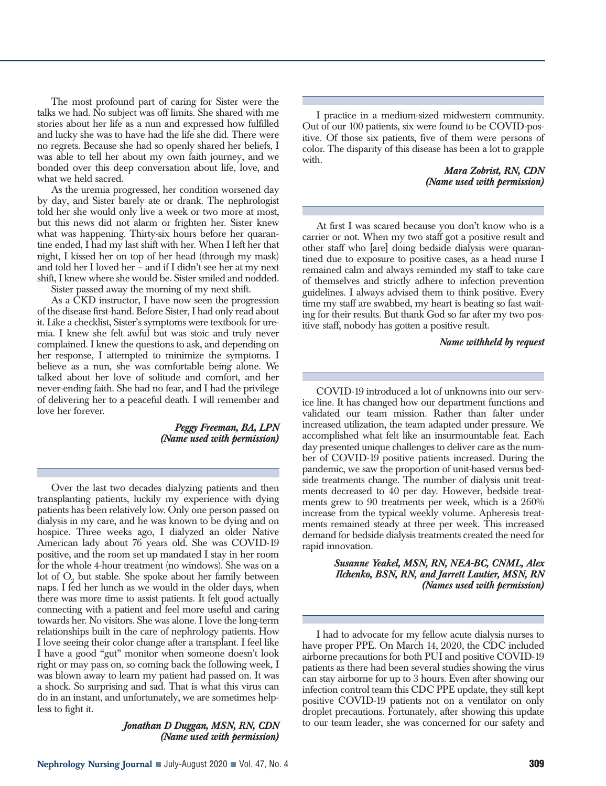The most profound part of caring for Sister were the talks we had. No subject was off limits. She shared with me stories about her life as a nun and expressed how fulfilled and lucky she was to have had the life she did. There were no regrets. Because she had so openly shared her beliefs, I was able to tell her about my own faith journey, and we bonded over this deep conversation about life, love, and what we held sacred.

As the uremia progressed, her condition worsened day by day, and Sister barely ate or drank. The nephrologist told her she would only live a week or two more at most, but this news did not alarm or frighten her. Sister knew what was happening. Thirty-six hours before her quarantine ended, I had my last shift with her. When I left her that night, I kissed her on top of her head (through my mask) and told her I loved her – and if I didn't see her at my next shift, I knew where she would be. Sister smiled and nodded. Sister passed away the morning of my next shift.

As a CKD instructor, I have now seen the progression of the disease first-hand. Before Sister, I had only read about it. Like a checklist, Sister's symptoms were textbook for uremia. I knew she felt awful but was stoic and truly never complained. I knew the questions to ask, and depending on her response, I attempted to minimize the symptoms. I believe as a nun, she was comfortable being alone. We talked about her love of solitude and comfort, and her never-ending faith. She had no fear, and I had the privilege of delivering her to a peaceful death. I will remember and love her forever.

> *Peggy Freeman, BA, LPN (Name used with permission)*

Over the last two decades dialyzing patients and then transplanting patients, luckily my experience with dying patients has been relatively low. Only one person passed on dialysis in my care, and he was known to be dying and on hospice. Three weeks ago, I dialyzed an older Native American lady about 76 years old. She was COVID-19 positive, and the room set up mandated I stay in her room for the whole 4-hour treatment (no windows). She was on a lot of O<sub>2</sub> but stable. She spoke about her family between naps. I fed her lunch as we would in the older days, when there was more time to assist patients. It felt good actually connecting with a patient and feel more useful and caring towards her. No visitors. She was alone. I love the long-term relationships built in the care of nephrology patients. How I love seeing their color change after a transplant. I feel like I have a good "gut" monitor when someone doesn't look right or may pass on, so coming back the following week, I was blown away to learn my patient had passed on. It was a shock. So surprising and sad. That is what this virus can do in an instant, and unfortunately, we are sometimes helpless to fight it.

> *Jonathan D Duggan, MSN, RN, CDN (Name used with permission)*

I practice in a medium-sized midwestern community. Out of our 100 patients, six were found to be COVID-positive. Of those six patients, five of them were persons of color. The disparity of this disease has been a lot to grapple with.

> *Mara Zobrist, RN, CDN (Name used with permission)*

At first I was scared because you don't know who is a carrier or not. When my two staff got a positive result and other staff who [are] doing bedside dialysis were quarantined due to exposure to positive cases, as a head nurse I remained calm and always reminded my staff to take care of themselves and strictly adhere to infection prevention guidelines. I always advised them to think positive. Every time my staff are swabbed, my heart is beating so fast waiting for their results. But thank God so far after my two positive staff, nobody has gotten a positive result.

## *Name withheld by request*

COVID-19 introduced a lot of unknowns into our service line. It has changed how our department functions and validated our team mission. Rather than falter under increased utilization, the team adapted under pressure. We accomplished what felt like an insurmountable feat. Each day presented unique challenges to deliver care as the number of COVID-19 positive patients increased. During the pandemic, we saw the proportion of unit-based versus bedside treatments change. The number of dialysis unit treatments decreased to 40 per day. However, bedside treatments grew to 90 treatments per week, which is a 260% increase from the typical weekly volume. Apheresis treatments remained steady at three per week. This increased demand for bedside dialysis treatments created the need for rapid innovation.

> *Susanne Yeakel, MSN, RN, NEA-BC, CNML, Alex Ilchenko, BSN, RN, and Jarrett Lautier, MSN, RN (Names used with permission)*

I had to advocate for my fellow acute dialysis nurses to have proper PPE. On March 14, 2020, the CDC included airborne precautions for both PUI and positive COVID-19 patients as there had been several studies showing the virus can stay airborne for up to 3 hours. Even after showing our infection control team this CDC PPE update, they still kept positive COVID-19 patients not on a ventilator on only droplet precautions. Fortunately, after showing this update to our team leader, she was concerned for our safety and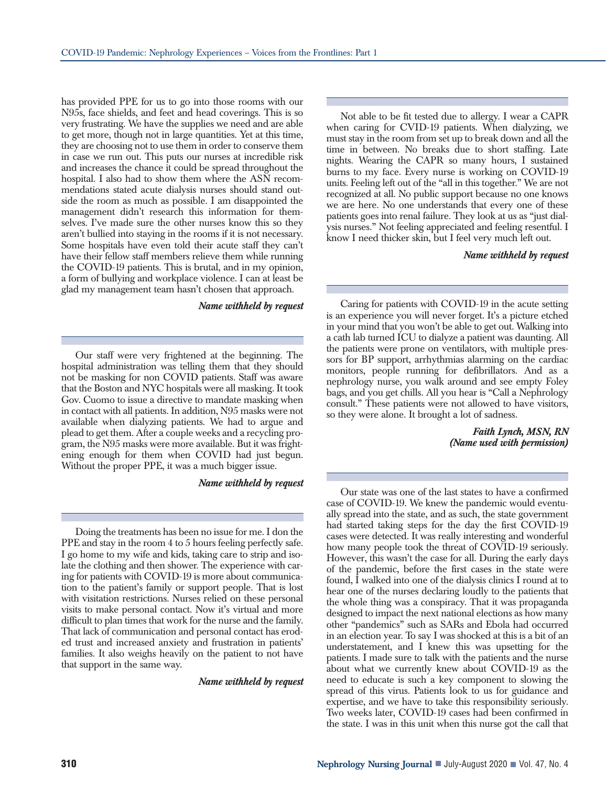has provided PPE for us to go into those rooms with our N95s, face shields, and feet and head coverings. This is so very frustrating. We have the supplies we need and are able to get more, though not in large quantities. Yet at this time, they are choosing not to use them in order to conserve them in case we run out. This puts our nurses at incredible risk and increases the chance it could be spread throughout the hospital. I also had to show them where the ASN recommendations stated acute dialysis nurses should stand outside the room as much as possible. I am disappointed the management didn't research this information for themselves. I've made sure the other nurses know this so they aren't bullied into staying in the rooms if it is not necessary. Some hospitals have even told their acute staff they can't have their fellow staff members relieve them while running the COVID-19 patients. This is brutal, and in my opinion, a form of bullying and workplace violence. I can at least be glad my management team hasn't chosen that approach.

## *Name withheld by request*

Our staff were very frightened at the beginning. The hospital administration was telling them that they should not be masking for non COVID patients. Staff was aware that the Boston and NYC hospitals were all masking. It took Gov. Cuomo to issue a directive to mandate masking when in contact with all patients. In addition, N95 masks were not available when dialyzing patients. We had to argue and plead to get them. After a couple weeks and a recycling program, the N95 masks were more available. But it was frightening enough for them when COVID had just begun. Without the proper PPE, it was a much bigger issue.

#### *Name withheld by request*

Doing the treatments has been no issue for me. I don the PPE and stay in the room 4 to 5 hours feeling perfectly safe. I go home to my wife and kids, taking care to strip and isolate the clothing and then shower. The experience with caring for patients with COVID-19 is more about communication to the patient's family or support people. That is lost with visitation restrictions. Nurses relied on these personal visits to make personal contact. Now it's virtual and more difficult to plan times that work for the nurse and the family. That lack of communication and personal contact has eroded trust and increased anxiety and frustration in patients' families. It also weighs heavily on the patient to not have that support in the same way.

*Name withheld by request*

Not able to be fit tested due to allergy. I wear a CAPR when caring for CVID-19 patients. When dialyzing, we must stay in the room from set up to break down and all the time in between. No breaks due to short staffing. Late nights. Wearing the CAPR so many hours, I sustained burns to my face. Every nurse is working on COVID-19 units. Feeling left out of the "all in this together." We are not recognized at all. No public support because no one knows we are here. No one understands that every one of these patients goes into renal failure. They look at us as "just dialysis nurses." Not feeling appreciated and feeling resentful. I know I need thicker skin, but I feel very much left out.

#### *Name withheld by request*

Caring for patients with COVID-19 in the acute setting is an experience you will never forget. It's a picture etched in your mind that you won't be able to get out. Walking into a cath lab turned ICU to dialyze a patient was daunting. All the patients were prone on ventilators, with multiple pressors for BP support, arrhythmias alarming on the cardiac monitors, people running for defibrillators. And as a nephrology nurse, you walk around and see empty Foley bags, and you get chills. All you hear is "Call a Nephrology consult." These patients were not allowed to have visitors, so they were alone. It brought a lot of sadness.

> *Faith Lynch, MSN, RN (Name used with permission)*

Our state was one of the last states to have a confirmed case of COVID-19. We knew the pandemic would eventually spread into the state, and as such, the state government had started taking steps for the day the first COVID-19 cases were detected. It was really interesting and wonderful how many people took the threat of COVID-19 seriously. However, this wasn't the case for all. During the early days of the pandemic, before the first cases in the state were found, I walked into one of the dialysis clinics I round at to hear one of the nurses declaring loudly to the patients that the whole thing was a conspiracy. That it was propaganda designed to impact the next national elections as how many other "pandemics" such as SARs and Ebola had occurred in an election year. To say I was shocked at this is a bit of an understatement, and I knew this was upsetting for the patients. I made sure to talk with the patients and the nurse about what we currently knew about COVID-19 as the need to educate is such a key component to slowing the spread of this virus. Patients look to us for guidance and expertise, and we have to take this responsibility seriously. Two weeks later, COVID-19 cases had been confirmed in the state. I was in this unit when this nurse got the call that